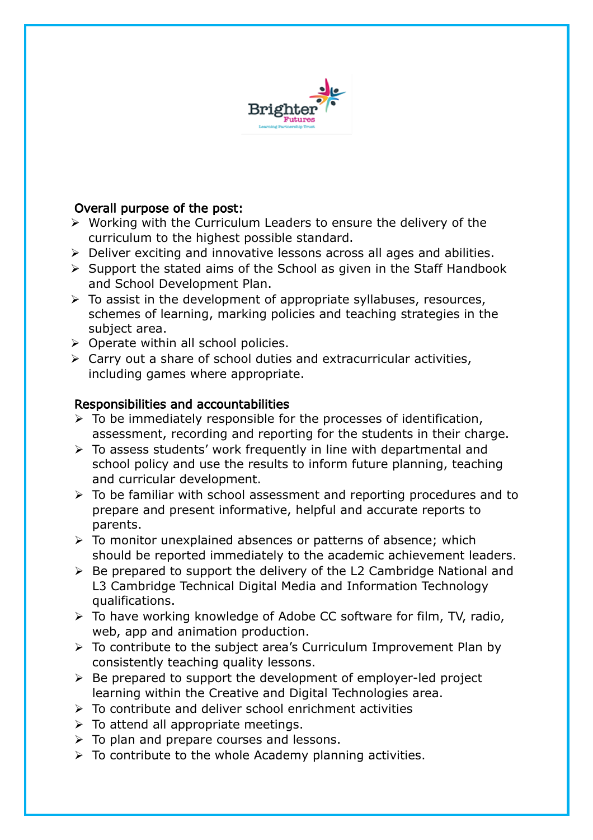

## Overall purpose of the post:

- $\triangleright$  Working with the Curriculum Leaders to ensure the delivery of the curriculum to the highest possible standard.
- Deliver exciting and innovative lessons across all ages and abilities.
- $\triangleright$  Support the stated aims of the School as given in the Staff Handbook and School Development Plan.
- $\triangleright$  To assist in the development of appropriate syllabuses, resources, schemes of learning, marking policies and teaching strategies in the subject area.
- $\triangleright$  Operate within all school policies.
- $\triangleright$  Carry out a share of school duties and extracurricular activities, including games where appropriate.

## Responsibilities and accountabilities

- $\triangleright$  To be immediately responsible for the processes of identification, assessment, recording and reporting for the students in their charge.
- $\triangleright$  To assess students' work frequently in line with departmental and school policy and use the results to inform future planning, teaching and curricular development.
- $\triangleright$  To be familiar with school assessment and reporting procedures and to prepare and present informative, helpful and accurate reports to parents.
- $\triangleright$  To monitor unexplained absences or patterns of absence; which should be reported immediately to the academic achievement leaders.
- $\triangleright$  Be prepared to support the delivery of the L2 Cambridge National and L3 Cambridge Technical Digital Media and Information Technology qualifications.
- $\triangleright$  To have working knowledge of Adobe CC software for film, TV, radio, web, app and animation production.
- To contribute to the subject area's Curriculum Improvement Plan by consistently teaching quality lessons.
- $\triangleright$  Be prepared to support the development of employer-led project learning within the Creative and Digital Technologies area.
- $\triangleright$  To contribute and deliver school enrichment activities
- $\triangleright$  To attend all appropriate meetings.
- > To plan and prepare courses and lessons.
- $\triangleright$  To contribute to the whole Academy planning activities.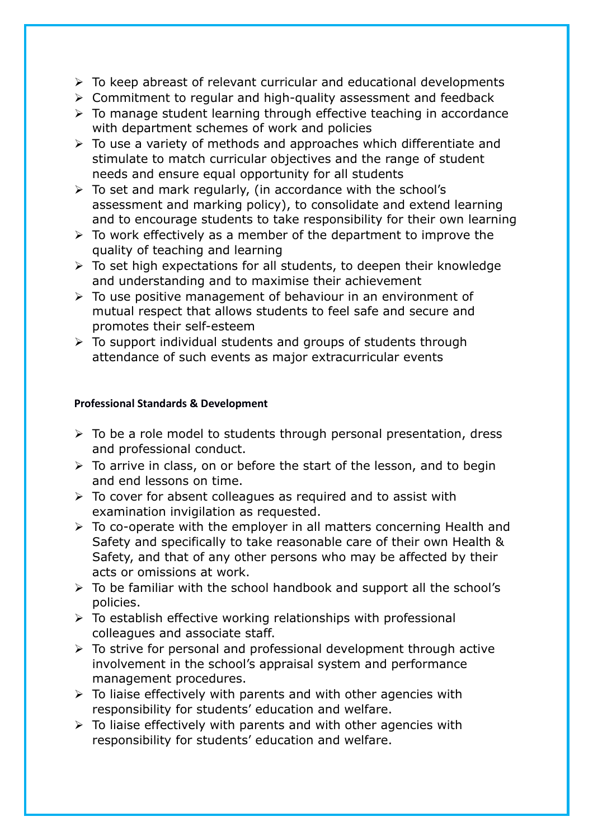- $\triangleright$  To keep abreast of relevant curricular and educational developments
- $\triangleright$  Commitment to regular and high-quality assessment and feedback
- $\triangleright$  To manage student learning through effective teaching in accordance with department schemes of work and policies
- $\triangleright$  To use a variety of methods and approaches which differentiate and stimulate to match curricular objectives and the range of student needs and ensure equal opportunity for all students
- $\triangleright$  To set and mark regularly, (in accordance with the school's assessment and marking policy), to consolidate and extend learning and to encourage students to take responsibility for their own learning
- $\triangleright$  To work effectively as a member of the department to improve the quality of teaching and learning
- > To set high expectations for all students, to deepen their knowledge and understanding and to maximise their achievement
- $\triangleright$  To use positive management of behaviour in an environment of mutual respect that allows students to feel safe and secure and promotes their self-esteem
- $\triangleright$  To support individual students and groups of students through attendance of such events as major extracurricular events

## **Professional Standards & Development**

- $\triangleright$  To be a role model to students through personal presentation, dress and professional conduct.
- $\triangleright$  To arrive in class, on or before the start of the lesson, and to begin and end lessons on time.
- $\triangleright$  To cover for absent colleagues as required and to assist with examination invigilation as requested.
- $\triangleright$  To co-operate with the employer in all matters concerning Health and Safety and specifically to take reasonable care of their own Health & Safety, and that of any other persons who may be affected by their acts or omissions at work.
- $\triangleright$  To be familiar with the school handbook and support all the school's policies.
- $\triangleright$  To establish effective working relationships with professional colleagues and associate staff.
- $\triangleright$  To strive for personal and professional development through active involvement in the school's appraisal system and performance management procedures.
- $\triangleright$  To liaise effectively with parents and with other agencies with responsibility for students' education and welfare.
- $\triangleright$  To liaise effectively with parents and with other agencies with responsibility for students' education and welfare.